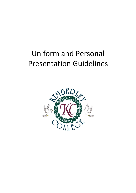# Uniform and Personal Presentation Guidelines

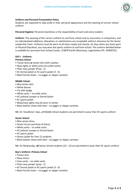

## **Uniform and Personal Presentation Policy**

Students are expected to take pride in their personal appearance and the wearing of correct school uniform.

**Personal Hygiene:** Personal cleanliness is the responsibility of each and every student.

**Uniform:** The wearing of the correct uniform to and from school and on excursions is compulsory, and no individualised additions, alterations or substitutions are acceptable without clearance by the Senior Leadership Team. Uniforms must be worn at all times neatly and cleanly. On days when you have sport or Physical Education, you may wear the sports uniform to and from school. The uniform detailed below is available for purchase from School Locker, 2/3878 Pacific Motorway, Loganholme (Ph. 34409701).

# **Girl's Uniform:**

#### *Primary School*

- Tartan dress **or** tartan shirt with culottes
- Navy tights or white socks (no ankle socks)
- Plain navy jumper (Prep 2)
- KC formal jacket or KC sports jacket (3 6)
- Black formal shoes no jogger or slipper varieties

#### *Middle School*

- Blue tartan skirt
- White blouse
- Tie with badge
- White socks no ankle socks
- KC pullover jumper or formal blazer
- KC sports jacket
- Black/navy tights may be worn in winter
- Black leather shoes with heel no jogger or slipper varieties

NB: On 'Excellence' days, all Middle School students are permitted to wear their KC sports uniform

#### *Senior School*

- Blue senior dress
- Senior tie (on purchase of dress)
- White socks no ankle socks
- KC pullover jumper or formal blazer
- KC sports jacket
- Senior jacket for Year 12 students
- Black leather shoes with heel no jogger or slipper varieties

NB: On Wednesday, **all** Senior School students (10 - 12) are permitted to wear their KC sports uniform

#### **Boy's Uniform:** *Primary School*

- Tartan shirt
- Navy shorts
- Grey socks no ankle socks
- Plain navy jumper (prep 2)
- KC formal jacket or KC sports jacket (3 6)
- Black formal shoes no jogger or slipper varieties